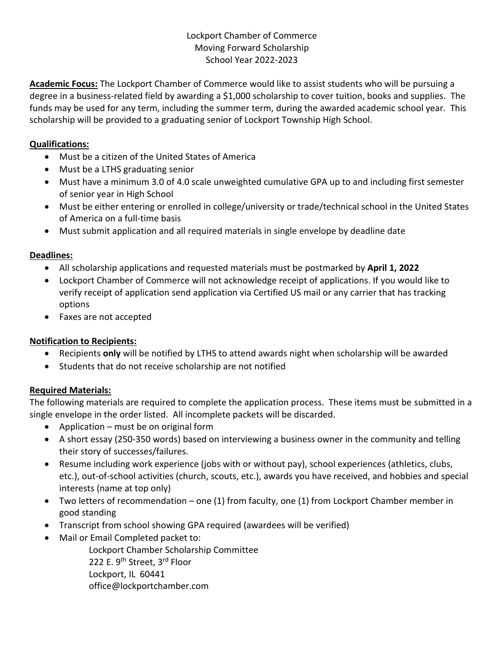#### Lockport Chamber of Commerce Moving Forward Scholarship School Year 2022-2023

**Academic Focus:** The Lockport Chamber of Commerce would like to assist students who will be pursuing a degree in a business-related field by awarding a \$1,000 scholarship to cover tuition, books and supplies. The funds may be used for any term, including the summer term, during the awarded academic school year. This scholarship will be provided to a graduating senior of Lockport Township High School.

#### **Qualifications:**

- Must be a citizen of the United States of America
- Must be a LTHS graduating senior
- Must have a minimum 3.0 of 4.0 scale unweighted cumulative GPA up to and including first semester of senior year in High School
- Must be either entering or enrolled in college/university or trade/technical school in the United States of America on a full-time basis
- Must submit application and all required materials in single envelope by deadline date

# **Deadlines:**

- All scholarship applications and requested materials must be postmarked by **April 1, 2022**
- Lockport Chamber of Commerce will not acknowledge receipt of applications. If you would like to verify receipt of application send application via Certified US mail or any carrier that has tracking options
- Faxes are not accepted

# **Notification to Recipients:**

- Recipients **only** will be notified by LTHS to attend awards night when scholarship will be awarded
- Students that do not receive scholarship are not notified

# **Required Materials:**

The following materials are required to complete the application process. These items must be submitted in a single envelope in the order listed. All incomplete packets will be discarded.

- Application must be on original form
- A short essay (250-350 words) based on interviewing a business owner in the community and telling their story of successes/failures.
- Resume including work experience (jobs with or without pay), school experiences (athletics, clubs, etc.), out-of-school activities (church, scouts, etc.), awards you have received, and hobbies and special interests (name at top only)
- Two letters of recommendation one (1) from faculty, one (1) from Lockport Chamber member in good standing
- Transcript from school showing GPA required (awardees will be verified)
- Mail or Email Completed packet to:

Lockport Chamber Scholarship Committee 222 E. 9<sup>th</sup> Street, 3<sup>rd</sup> Floor Lockport, IL 60441 office@lockportchamber.com